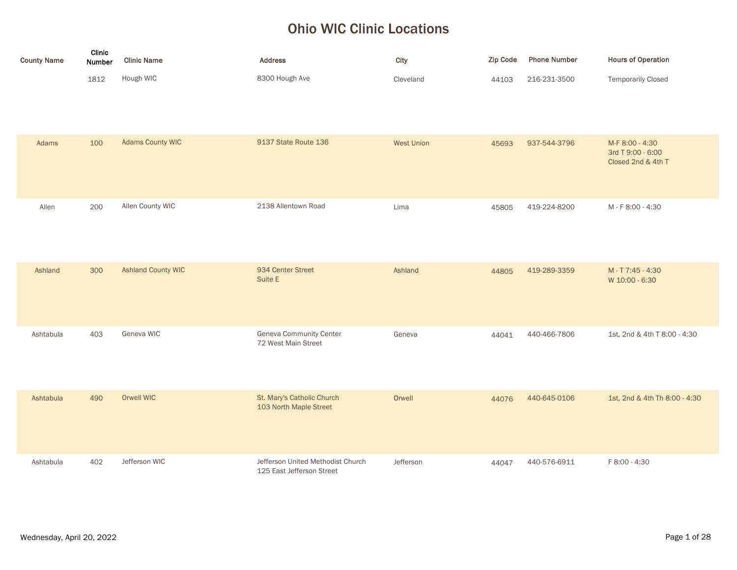## Ohio WIC Clinic Locations

| <b>County Name</b> | Clinic<br>Number | <b>Clinic Name</b>        | <b>Address</b>                                                 | City              | <b>Zip Code</b> | <b>Phone Number</b> | <b>Hours of Operation</b>                                  |
|--------------------|------------------|---------------------------|----------------------------------------------------------------|-------------------|-----------------|---------------------|------------------------------------------------------------|
|                    | 1812             | Hough WIC                 | 8300 Hough Ave                                                 | Cleveland         | 44103           | 216-231-3500        | <b>Temporarily Closed</b>                                  |
| Adams              | 100              | <b>Adams County WIC</b>   | 9137 State Route 136                                           | <b>West Union</b> | 45693           | 937-544-3796        | M-F 8:00 - 4:30<br>3rd T 9:00 - 6:00<br>Closed 2nd & 4th T |
| Allen              | 200              | Allen County WIC          | 2138 Allentown Road                                            | Lima              | 45805           | 419-224-8200        | M - F 8:00 - 4:30                                          |
| Ashland            | 300              | <b>Ashland County WIC</b> | 934 Center Street<br>Suite E                                   | Ashland           | 44805           | 419-289-3359        | M-T7:45-4:30<br>W 10:00 - 6:30                             |
| Ashtabula          | 403              | Geneva WIC                | Geneva Community Center<br>72 West Main Street                 | Geneva            | 44041           | 440-466-7806        | 1st, 2nd & 4th T 8:00 - 4:30                               |
| Ashtabula          | 490              | Orwell WIC                | St. Mary's Catholic Church<br>103 North Maple Street           | Orwell            | 44076           | 440-645-0106        | 1st, 2nd & 4th Th 8:00 - 4:30                              |
| Ashtabula          | 402              | Jefferson WIC             | Jefferson United Methodist Church<br>125 East Jefferson Street | Jefferson         | 44047           | 440-576-6911        | F 8:00 - 4:30                                              |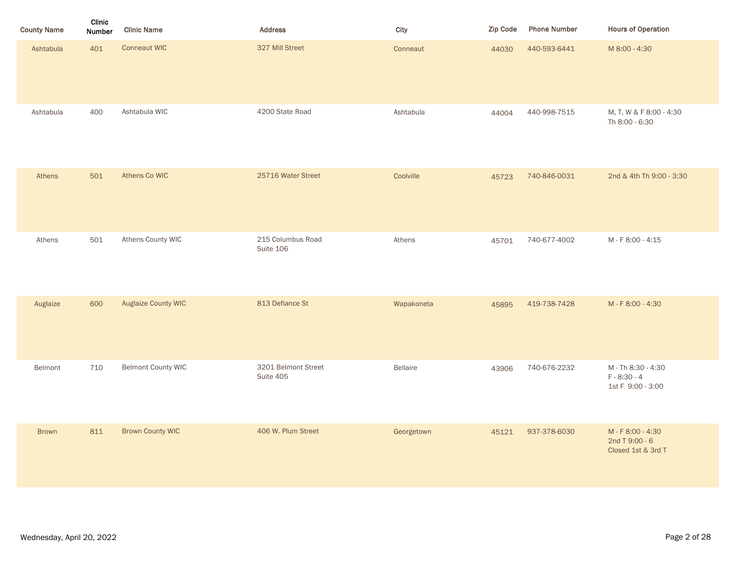| <b>County Name</b> | Clinic<br>Number | <b>Clinic Name</b>        | Address                          | City       | <b>Zip Code</b> | <b>Phone Number</b> | <b>Hours of Operation</b>                                 |
|--------------------|------------------|---------------------------|----------------------------------|------------|-----------------|---------------------|-----------------------------------------------------------|
| Ashtabula          | 401              | <b>Conneaut WIC</b>       | 327 Mill Street                  | Conneaut   | 44030           | 440-593-6441        | M 8:00 - 4:30                                             |
| Ashtabula          | 400              | Ashtabula WIC             | 4200 State Road                  | Ashtabula  | 44004           | 440-998-7515        | M, T, W & F 8:00 - 4:30<br>Th 8:00 - 6:30                 |
| Athens             | 501              | Athens Co WIC             | 25716 Water Street               | Coolville  | 45723           | 740-846-0031        | 2nd & 4th Th 9:00 - 3:30                                  |
| Athens             | 501              | Athens County WIC         | 215 Columbus Road<br>Suite 106   | Athens     | 45701           | 740-677-4002        | M - F 8:00 - 4:15                                         |
| Auglaize           | 600              | Auglaize County WIC       | 813 Defiance St                  | Wapakoneta | 45895           | 419-738-7428        | M-F8:00-4:30                                              |
| Belmont            | 710              | <b>Belmont County WIC</b> | 3201 Belmont Street<br>Suite 405 | Bellaire   | 43906           | 740-676-2232        | M - Th 8:30 - 4:30<br>$F - 8:30 - 4$<br>1st F 9:00 - 3:00 |
| <b>Brown</b>       | 811              | <b>Brown County WIC</b>   | 406 W. Plum Street               | Georgetown | 45121           | 937-378-6030        | M-F8:00-4:30<br>2nd T 9:00 - 6<br>Closed 1st & 3rd T      |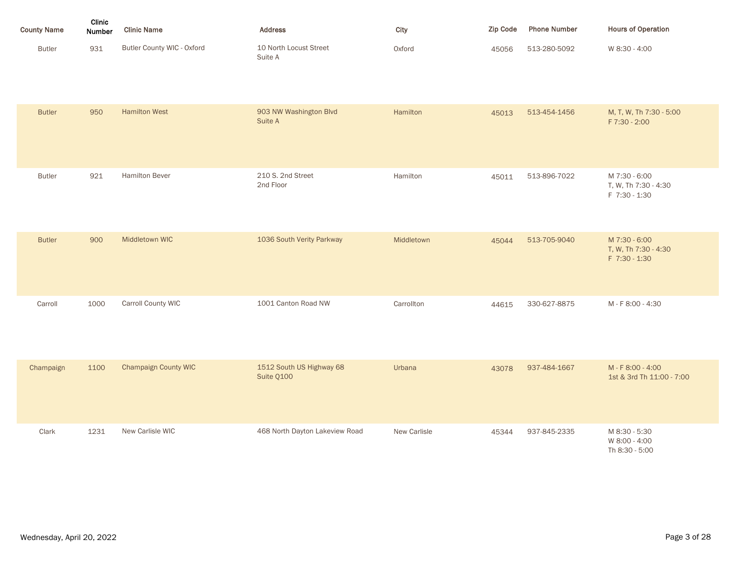| <b>County Name</b> | Clinic<br><b>Number</b> | <b>Clinic Name</b>         | <b>Address</b>                    | City   | <b>Zip Code</b> | <b>Phone Number</b> | <b>Hours of Operation</b> |
|--------------------|-------------------------|----------------------------|-----------------------------------|--------|-----------------|---------------------|---------------------------|
| <b>Butler</b>      | 931                     | Butler County WIC - Oxford | 10 North Locust Street<br>Suite A | Oxford | 45056           | 513-280-5092        | W 8:30 - 4:00             |

| <b>Butler</b> | 950  | <b>Hamilton West</b>        | 903 NW Washington Blvd<br>Suite A      | Hamilton     | 45013 | 513-454-1456 | M, T, W, Th 7:30 - 5:00<br>F 7:30 - 2:00               |
|---------------|------|-----------------------------|----------------------------------------|--------------|-------|--------------|--------------------------------------------------------|
| <b>Butler</b> | 921  | Hamilton Bever              | 210 S. 2nd Street<br>2nd Floor         | Hamilton     | 45011 | 513-896-7022 | M 7:30 - 6:00<br>T, W, Th 7:30 - 4:30<br>F 7:30 - 1:30 |
| <b>Butler</b> | 900  | Middletown WIC              | 1036 South Verity Parkway              | Middletown   | 45044 | 513-705-9040 | M 7:30 - 6:00<br>T, W, Th 7:30 - 4:30<br>F 7:30 - 1:30 |
| Carroll       | 1000 | Carroll County WIC          | 1001 Canton Road NW                    | Carrollton   | 44615 | 330-627-8875 | M-F8:00-4:30                                           |
| Champaign     | 1100 | <b>Champaign County WIC</b> | 1512 South US Highway 68<br>Suite Q100 | Urbana       | 43078 | 937-484-1667 | M-F8:00-4:00<br>1st & 3rd Th 11:00 - 7:00              |
| Clark         | 1231 | New Carlisle WIC            | 468 North Dayton Lakeview Road         | New Carlisle | 45344 | 937-845-2335 | M 8:30 - 5:30<br>W 8:00 - 4:00<br>Th 8:30 - 5:00       |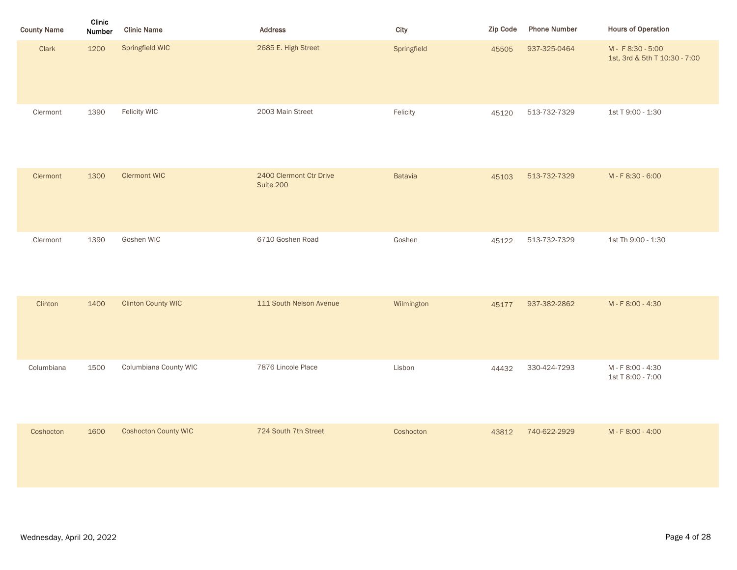| <b>County Name</b> | Clinic<br>Number | <b>Clinic Name</b>          | <b>Address</b>                       | City           | Zip Code | <b>Phone Number</b> | <b>Hours of Operation</b>                          |
|--------------------|------------------|-----------------------------|--------------------------------------|----------------|----------|---------------------|----------------------------------------------------|
| Clark              | 1200             | Springfield WIC             | 2685 E. High Street                  | Springfield    | 45505    | 937-325-0464        | M - F 8:30 - 5:00<br>1st, 3rd & 5th T 10:30 - 7:00 |
| Clermont           | 1390             | Felicity WIC                | 2003 Main Street                     | Felicity       | 45120    | 513-732-7329        | 1st T 9:00 - 1:30                                  |
| Clermont           | 1300             | <b>Clermont WIC</b>         | 2400 Clermont Ctr Drive<br>Suite 200 | <b>Batavia</b> | 45103    | 513-732-7329        | M-F8:30-6:00                                       |
| Clermont           | 1390             | Goshen WIC                  | 6710 Goshen Road                     | Goshen         | 45122    | 513-732-7329        | 1st Th 9:00 - 1:30                                 |
| Clinton            | 1400             | <b>Clinton County WIC</b>   | 111 South Nelson Avenue              | Wilmington     | 45177    | 937-382-2862        | M-F8:00-4:30                                       |
| Columbiana         | 1500             | Columbiana County WIC       | 7876 Lincole Place                   | Lisbon         | 44432    | 330-424-7293        | M - F 8:00 - 4:30<br>1st T 8:00 - 7:00             |
| Coshocton          | 1600             | <b>Coshocton County WIC</b> | 724 South 7th Street                 | Coshocton      | 43812    | 740-622-2929        | M-F8:00-4:00                                       |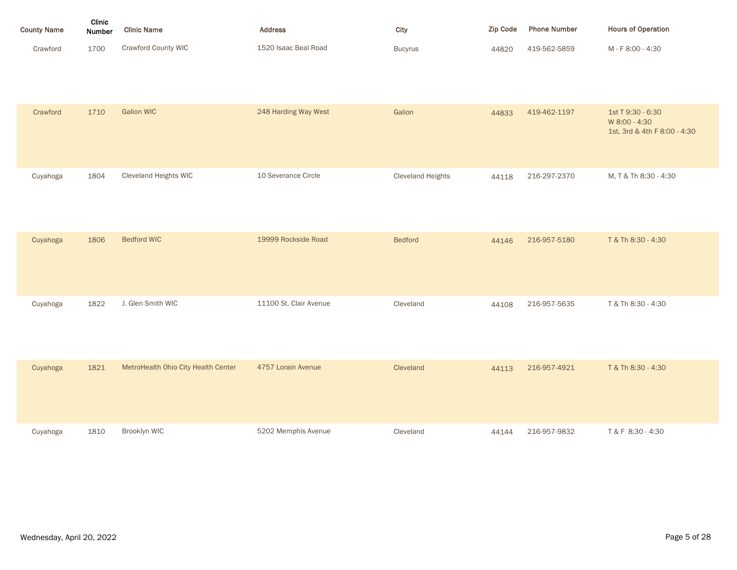| <b>County Name</b> | Clinic<br><b>Number</b> | <b>Clinic Name</b>  | <b>Address</b>       | City           | <b>Zip Code</b> | <b>Phone Number</b> | <b>Hours of Operation</b> |
|--------------------|-------------------------|---------------------|----------------------|----------------|-----------------|---------------------|---------------------------|
| Crawford           | 1700                    | Crawford County WIC | 1520 Isaac Beal Road | <b>Bucyrus</b> | 44820           | 419-562-5859        | M - F 8:00 - 4:30         |

| Crawford | 1710 | <b>Galion WIC</b>                   | 248 Harding Way West   | Galion                   | 44833 | 419-462-1197 | 1st T 9:30 - 6:30<br>W 8:00 - 4:30<br>1st, 3rd & 4th F 8:00 - 4:30 |
|----------|------|-------------------------------------|------------------------|--------------------------|-------|--------------|--------------------------------------------------------------------|
| Cuyahoga | 1804 | Cleveland Heights WIC               | 10 Severance Circle    | <b>Cleveland Heights</b> | 44118 | 216-297-2370 | M, T & Th 8:30 - 4:30                                              |
| Cuyahoga | 1806 | <b>Bedford WIC</b>                  | 19999 Rockside Road    | <b>Bedford</b>           | 44146 | 216-957-5180 | T & Th 8:30 - 4:30                                                 |
| Cuyahoga | 1822 | J. Glen Smith WIC                   | 11100 St. Clair Avenue | Cleveland                | 44108 | 216-957-5635 | T & Th 8:30 - 4:30                                                 |
| Cuyahoga | 1821 | MetroHealth Ohio City Health Center | 4757 Lorain Avenue     | Cleveland                | 44113 | 216-957-4921 | T & Th 8:30 - 4:30                                                 |
| Cuyahoga | 1810 | Brooklyn WIC                        | 5202 Memphis Avenue    | Cleveland                | 44144 | 216-957-9832 | T & F 8:30 - 4:30                                                  |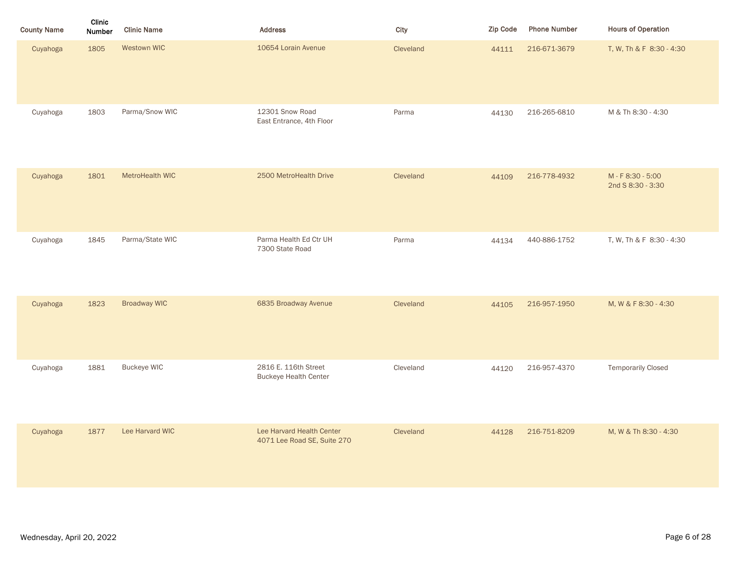| <b>County Name</b> | Clinic<br><b>Number</b> | <b>Clinic Name</b>  | <b>Address</b>                                           | City      | Zip Code | <b>Phone Number</b> | <b>Hours of Operation</b>              |
|--------------------|-------------------------|---------------------|----------------------------------------------------------|-----------|----------|---------------------|----------------------------------------|
| Cuyahoga           | 1805                    | Westown WIC         | 10654 Lorain Avenue                                      | Cleveland | 44111    | 216-671-3679        | T, W, Th & F 8:30 - 4:30               |
| Cuyahoga           | 1803                    | Parma/Snow WIC      | 12301 Snow Road<br>East Entrance, 4th Floor              | Parma     | 44130    | 216-265-6810        | M & Th 8:30 - 4:30                     |
| Cuyahoga           | 1801                    | MetroHealth WIC     | 2500 MetroHealth Drive                                   | Cleveland | 44109    | 216-778-4932        | M - F 8:30 - 5:00<br>2nd S 8:30 - 3:30 |
| Cuyahoga           | 1845                    | Parma/State WIC     | Parma Health Ed Ctr UH<br>7300 State Road                | Parma     | 44134    | 440-886-1752        | T, W, Th & F 8:30 - 4:30               |
| Cuyahoga           | 1823                    | <b>Broadway WIC</b> | 6835 Broadway Avenue                                     | Cleveland | 44105    | 216-957-1950        | M, W & F 8:30 - 4:30                   |
| Cuyahoga           | 1881                    | <b>Buckeye WIC</b>  | 2816 E. 116th Street<br><b>Buckeye Health Center</b>     | Cleveland | 44120    | 216-957-4370        | <b>Temporarily Closed</b>              |
| Cuyahoga           | 1877                    | Lee Harvard WIC     | Lee Harvard Health Center<br>4071 Lee Road SE, Suite 270 | Cleveland | 44128    | 216-751-8209        | M, W & Th 8:30 - 4:30                  |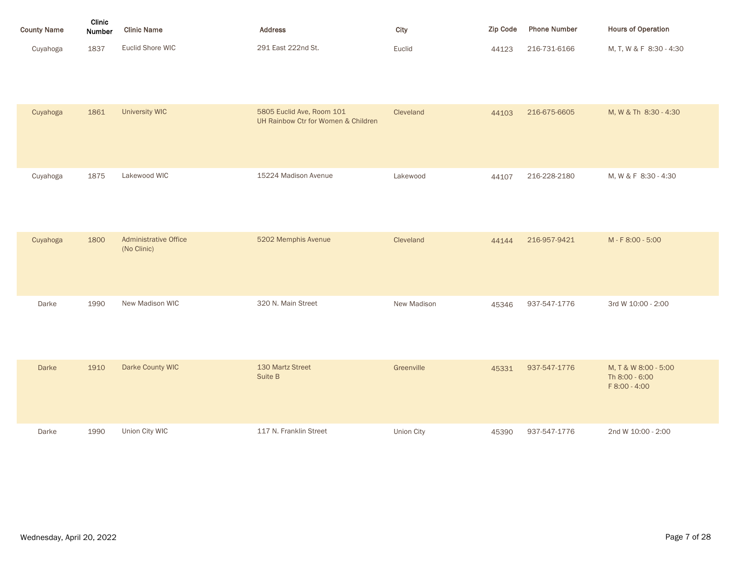| <b>County Name</b> | Clinic<br><b>Number</b> | <b>Clinic Name</b> | <b>Address</b>     | City   | Zip Code | <b>Phone Number</b> | <b>Hours of Operation</b> |
|--------------------|-------------------------|--------------------|--------------------|--------|----------|---------------------|---------------------------|
| Cuyahoga           | 1837                    | Euclid Shore WIC   | 291 East 222nd St. | Euclid | 44123    | 216-731-6166        | M, T, W & F 8:30 - 4:30   |

| Cuyahoga     | 1861 | <b>University WIC</b>                       | 5805 Euclid Ave, Room 101<br>UH Rainbow Ctr for Women & Children | Cleveland   | 44103 | 216-675-6605 | M, W & Th 8:30 - 4:30                                   |
|--------------|------|---------------------------------------------|------------------------------------------------------------------|-------------|-------|--------------|---------------------------------------------------------|
| Cuyahoga     | 1875 | Lakewood WIC                                | 15224 Madison Avenue                                             | Lakewood    | 44107 | 216-228-2180 | M, W & F 8:30 - 4:30                                    |
| Cuyahoga     | 1800 | <b>Administrative Office</b><br>(No Clinic) | 5202 Memphis Avenue                                              | Cleveland   | 44144 | 216-957-9421 | M - F 8:00 - 5:00                                       |
| Darke        | 1990 | New Madison WIC                             | 320 N. Main Street                                               | New Madison | 45346 | 937-547-1776 | 3rd W 10:00 - 2:00                                      |
| <b>Darke</b> | 1910 | Darke County WIC                            | 130 Martz Street<br>Suite B                                      | Greenville  | 45331 | 937-547-1776 | M, T & W 8:00 - 5:00<br>Th 8:00 - 6:00<br>F 8:00 - 4:00 |
| Darke        | 1990 | Union City WIC                              | 117 N. Franklin Street                                           | Union City  | 45390 | 937-547-1776 | 2nd W 10:00 - 2:00                                      |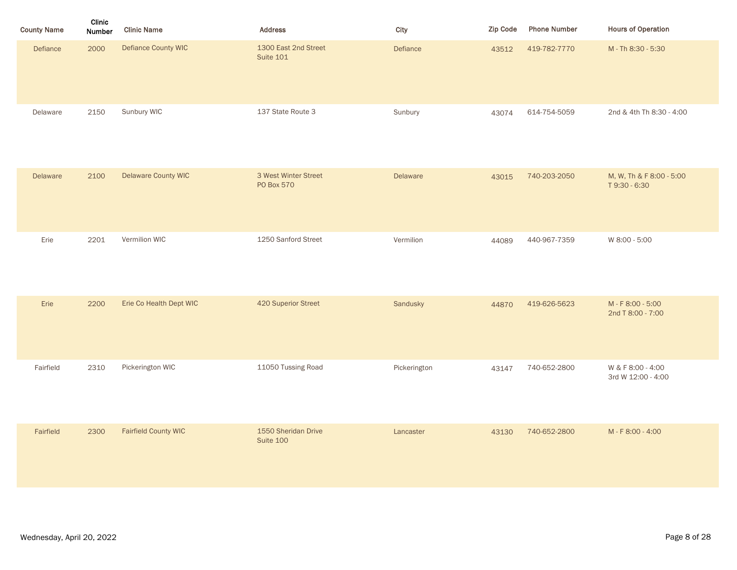| <b>County Name</b> | Clinic<br>Number | <b>Clinic Name</b>          | Address                                  | City         | Zip Code | <b>Phone Number</b> | <b>Hours of Operation</b>                 |
|--------------------|------------------|-----------------------------|------------------------------------------|--------------|----------|---------------------|-------------------------------------------|
| Defiance           | 2000             | Defiance County WIC         | 1300 East 2nd Street<br><b>Suite 101</b> | Defiance     | 43512    | 419-782-7770        | M - Th 8:30 - 5:30                        |
| Delaware           | 2150             | Sunbury WIC                 | 137 State Route 3                        | Sunbury      | 43074    | 614-754-5059        | 2nd & 4th Th 8:30 - 4:00                  |
| Delaware           | 2100             | Delaware County WIC         | 3 West Winter Street<br>PO Box 570       | Delaware     | 43015    | 740-203-2050        | M, W, Th & F 8:00 - 5:00<br>T 9:30 - 6:30 |
| Erie               | 2201             | Vermilion WIC               | 1250 Sanford Street                      | Vermilion    | 44089    | 440-967-7359        | W 8:00 - 5:00                             |
| Erie               | 2200             | Erie Co Health Dept WIC     | 420 Superior Street                      | Sandusky     | 44870    | 419-626-5623        | M - F 8:00 - 5:00<br>2nd T 8:00 - 7:00    |
| Fairfield          | 2310             | Pickerington WIC            | 11050 Tussing Road                       | Pickerington | 43147    | 740-652-2800        | W & F 8:00 - 4:00<br>3rd W 12:00 - 4:00   |
| Fairfield          | 2300             | <b>Fairfield County WIC</b> | 1550 Sheridan Drive<br>Suite 100         | Lancaster    | 43130    | 740-652-2800        | M-F8:00-4:00                              |
|                    |                  |                             |                                          |              |          |                     |                                           |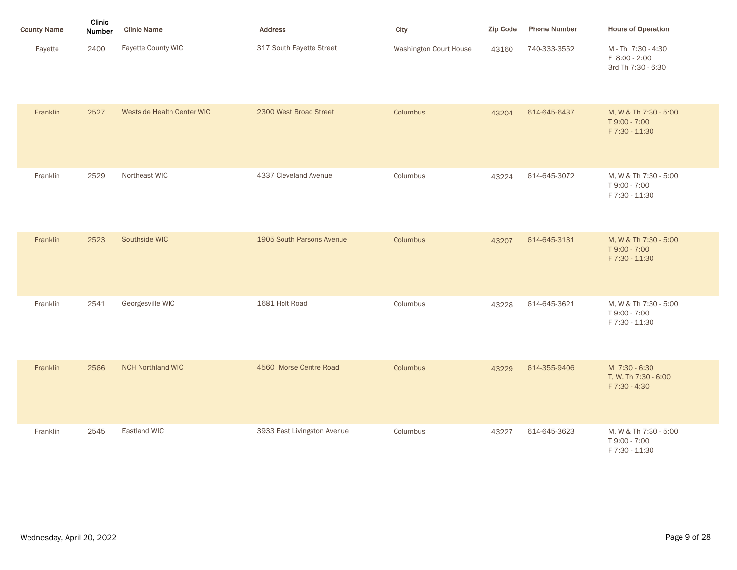| <b>County Name</b> | Clinic<br>Number | <b>Clinic Name</b>         | <b>Address</b>            | City                          | <b>Zip Code</b> | <b>Phone Number</b> | <b>Hours of Operation</b>                                |
|--------------------|------------------|----------------------------|---------------------------|-------------------------------|-----------------|---------------------|----------------------------------------------------------|
| Fayette            | 2400             | Fayette County WIC         | 317 South Fayette Street  | <b>Washington Court House</b> | 43160           | 740-333-3552        | M-Th 7:30 - 4:30<br>F 8:00 - 2:00<br>3rd Th 7:30 - 6:30  |
| Franklin           | 2527             | Westside Health Center WIC | 2300 West Broad Street    | Columbus                      | 43204           | 614-645-6437        | M, W & Th 7:30 - 5:00<br>T 9:00 - 7:00<br>F 7:30 - 11:30 |
| Franklin           | 2529             | Northeast WIC              | 4337 Cleveland Avenue     | Columbus                      | 43224           | 614-645-3072        | M, W & Th 7:30 - 5:00<br>T 9:00 - 7:00<br>F 7:30 - 11:30 |
| Franklin           | 2523             | Southside WIC              | 1905 South Parsons Avenue | Columbus                      | 43207           | 614-645-3131        | M, W & Th 7:30 - 5:00<br>T 9:00 - 7:00<br>F 7:30 - 11:30 |
| Franklin           | 2541             | Georgesville WIC           | 1681 Holt Road            | Columbus                      | 43228           | 614-645-3621        | M, W & Th 7:30 - 5:00<br>T 9:00 - 7:00<br>F 7:30 - 11:30 |
| Franklin           | 2566             | <b>NCH Northland WIC</b>   | 4560 Morse Centre Road    | Columbus                      | 43229           | 614-355-9406        | M 7:30 - 6:30<br>T, W, Th 7:30 - 6:00<br>F 7:30 - 4:30   |

| Franklin | 2545 | Eastland WIC | 3933 East Livingston Avenue | Columbus | 43227 | 614-645-3623 | M, W & Th 7:30 - 5:00<br>T 9:00 - 7:00<br>F 7:30 - 11:30 |
|----------|------|--------------|-----------------------------|----------|-------|--------------|----------------------------------------------------------|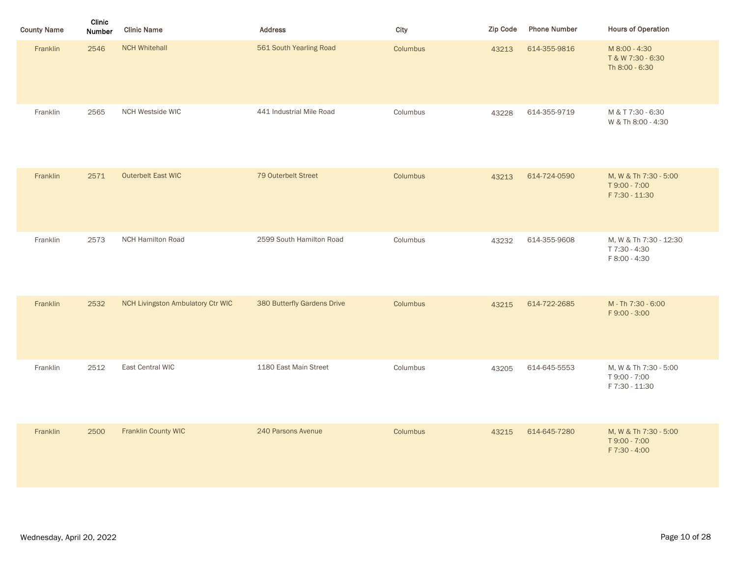| <b>County Name</b> | Clinic<br>Number | <b>Clinic Name</b>                       | <b>Address</b>              | City     | Zip Code | <b>Phone Number</b> | <b>Hours of Operation</b>                                |
|--------------------|------------------|------------------------------------------|-----------------------------|----------|----------|---------------------|----------------------------------------------------------|
| Franklin           | 2546             | <b>NCH Whitehall</b>                     | 561 South Yearling Road     | Columbus | 43213    | 614-355-9816        | M 8:00 - 4:30<br>T & W 7:30 - 6:30<br>Th 8:00 - 6:30     |
| Franklin           | 2565             | NCH Westside WIC                         | 441 Industrial Mile Road    | Columbus | 43228    | 614-355-9719        | M & T 7:30 - 6:30<br>W & Th 8:00 - 4:30                  |
| Franklin           | 2571             | Outerbelt East WIC                       | 79 Outerbelt Street         | Columbus | 43213    | 614-724-0590        | M, W & Th 7:30 - 5:00<br>T 9:00 - 7:00<br>F 7:30 - 11:30 |
| Franklin           | 2573             | <b>NCH Hamilton Road</b>                 | 2599 South Hamilton Road    | Columbus | 43232    | 614-355-9608        | M, W & Th 7:30 - 12:30<br>T 7:30 - 4:30<br>F 8:00 - 4:30 |
| Franklin           | 2532             | <b>NCH Livingston Ambulatory Ctr WIC</b> | 380 Butterfly Gardens Drive | Columbus | 43215    | 614-722-2685        | M - Th 7:30 - 6:00<br>F9:00 - 3:00                       |
| Franklin           | 2512             | East Central WIC                         | 1180 East Main Street       | Columbus | 43205    | 614-645-5553        | M, W & Th 7:30 - 5:00<br>T 9:00 - 7:00<br>F 7:30 - 11:30 |
| Franklin           | 2500             | Franklin County WIC                      | 240 Parsons Avenue          | Columbus | 43215    | 614-645-7280        | M, W & Th 7:30 - 5:00<br>T 9:00 - 7:00<br>F 7:30 - 4:00  |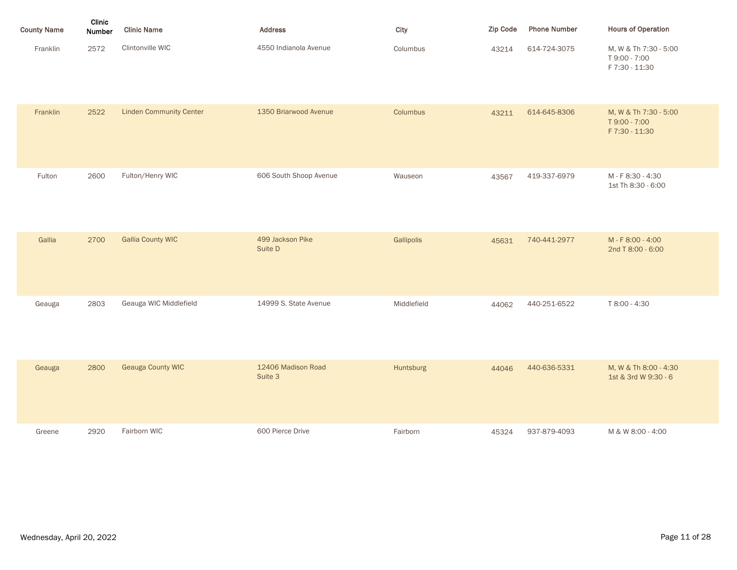| <b>County Name</b> | Clinic<br>Number | <b>Clinic Name</b>             | <b>Address</b>                | City        | <b>Zip Code</b> | <b>Phone Number</b> | <b>Hours of Operation</b>                                |
|--------------------|------------------|--------------------------------|-------------------------------|-------------|-----------------|---------------------|----------------------------------------------------------|
| Franklin           | 2572             | Clintonville WIC               | 4550 Indianola Avenue         | Columbus    | 43214           | 614-724-3075        | M, W & Th 7:30 - 5:00<br>T 9:00 - 7:00<br>F 7:30 - 11:30 |
| Franklin           | 2522             | <b>Linden Community Center</b> | 1350 Briarwood Avenue         | Columbus    | 43211           | 614-645-8306        | M, W & Th 7:30 - 5:00<br>T 9:00 - 7:00<br>F 7:30 - 11:30 |
| Fulton             | 2600             | Fulton/Henry WIC               | 606 South Shoop Avenue        | Wauseon     | 43567           | 419-337-6979        | M-F8:30-4:30<br>1st Th 8:30 - 6:00                       |
| Gallia             | 2700             | <b>Gallia County WIC</b>       | 499 Jackson Pike<br>Suite D   | Gallipolis  | 45631           | 740-441-2977        | M-F8:00-4:00<br>2nd T 8:00 - 6:00                        |
| Geauga             | 2803             | Geauga WIC Middlefield         | 14999 S. State Avenue         | Middlefield | 44062           | 440-251-6522        | T 8:00 - 4:30                                            |
| Geauga             | 2800             | <b>Geauga County WIC</b>       | 12406 Madison Road<br>Suite 3 | Huntsburg   | 44046           | 440-636-5331        | M, W & Th 8:00 - 4:30<br>1st & 3rd W 9:30 - 6            |
| Greene             | 2920             | Fairborn WIC                   | 600 Pierce Drive              | Fairborn    | 45324           | 937-879-4093        | M & W 8:00 - 4:00                                        |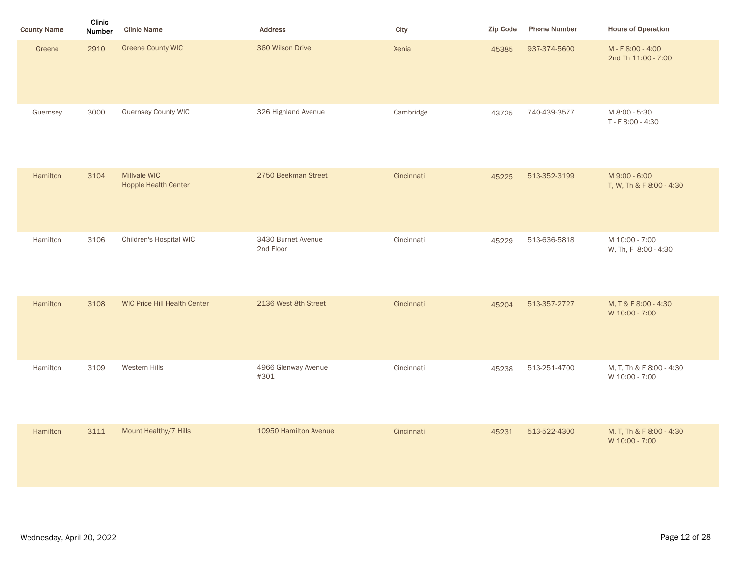| <b>County Name</b> | Clinic<br>Number | <b>Clinic Name</b>                          | <b>Address</b>                  | City       | Zip Code | <b>Phone Number</b> | <b>Hours of Operation</b>                  |
|--------------------|------------------|---------------------------------------------|---------------------------------|------------|----------|---------------------|--------------------------------------------|
| Greene             | 2910             | <b>Greene County WIC</b>                    | 360 Wilson Drive                | Xenia      | 45385    | 937-374-5600        | M - F 8:00 - 4:00<br>2nd Th 11:00 - 7:00   |
| Guernsey           | 3000             | <b>Guernsey County WIC</b>                  | 326 Highland Avenue             | Cambridge  | 43725    | 740-439-3577        | M 8:00 - 5:30<br>T - F 8:00 - 4:30         |
| Hamilton           | 3104             | Millvale WIC<br><b>Hopple Health Center</b> | 2750 Beekman Street             | Cincinnati | 45225    | 513-352-3199        | M 9:00 - 6:00<br>T, W, Th & F 8:00 - 4:30  |
| Hamilton           | 3106             | Children's Hospital WIC                     | 3430 Burnet Avenue<br>2nd Floor | Cincinnati | 45229    | 513-636-5818        | M 10:00 - 7:00<br>W, Th, F 8:00 - 4:30     |
| Hamilton           | 3108             | <b>WIC Price Hill Health Center</b>         | 2136 West 8th Street            | Cincinnati | 45204    | 513-357-2727        | M, T & F 8:00 - 4:30<br>W 10:00 - 7:00     |
| Hamilton           | 3109             | Western Hills                               | 4966 Glenway Avenue<br>#301     | Cincinnati | 45238    | 513-251-4700        | M, T, Th & F 8:00 - 4:30<br>W 10:00 - 7:00 |
| Hamilton           | 3111             | Mount Healthy/7 Hills                       | 10950 Hamilton Avenue           | Cincinnati | 45231    | 513-522-4300        | M, T, Th & F 8:00 - 4:30<br>W 10:00 - 7:00 |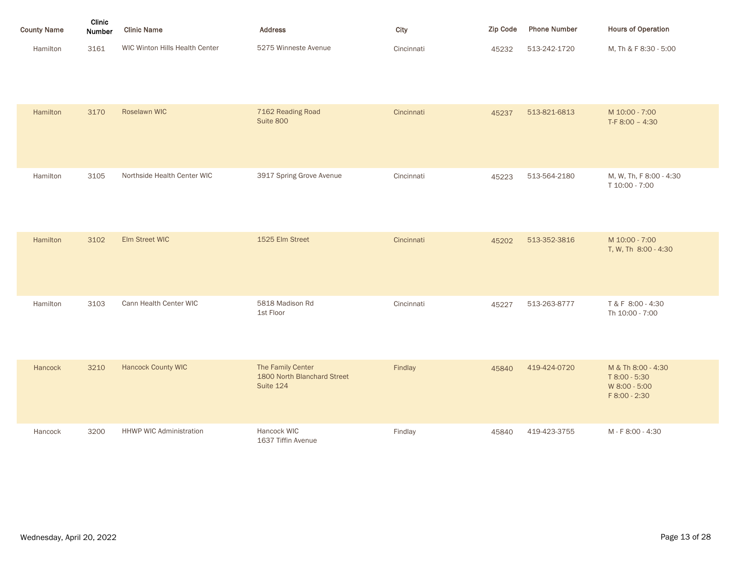| <b>County Name</b> | Clinic<br><b>Number</b> | <b>Clinic Name</b>             | <b>Address</b>       | City       | <b>Zip Code</b> | <b>Phone Number</b> | <b>Hours of Operation</b> |
|--------------------|-------------------------|--------------------------------|----------------------|------------|-----------------|---------------------|---------------------------|
| Hamilton           | 3161                    | WIC Winton Hills Health Center | 5275 Winneste Avenue | Cincinnati | 45232           | 513-242-1720        | M. Th & F 8:30 - 5:00     |

| Hamilton | 3170 | Roselawn WIC                   | 7162 Reading Road<br>Suite 800                                | Cincinnati | 45237 | 513-821-6813 | M 10:00 - 7:00<br>T-F 8:00 - 4:30                                     |
|----------|------|--------------------------------|---------------------------------------------------------------|------------|-------|--------------|-----------------------------------------------------------------------|
| Hamilton | 3105 | Northside Health Center WIC    | 3917 Spring Grove Avenue                                      | Cincinnati | 45223 | 513-564-2180 | M, W, Th, F 8:00 - 4:30<br>T 10:00 - 7:00                             |
| Hamilton | 3102 | Elm Street WIC                 | 1525 Elm Street                                               | Cincinnati | 45202 | 513-352-3816 | M 10:00 - 7:00<br>T, W, Th 8:00 - 4:30                                |
| Hamilton | 3103 | Cann Health Center WIC         | 5818 Madison Rd<br>1st Floor                                  | Cincinnati | 45227 | 513-263-8777 | T & F 8:00 - 4:30<br>Th 10:00 - 7:00                                  |
| Hancock  | 3210 | <b>Hancock County WIC</b>      | The Family Center<br>1800 North Blanchard Street<br>Suite 124 | Findlay    | 45840 | 419-424-0720 | M & Th 8:00 - 4:30<br>T 8:00 - 5:30<br>W 8:00 - 5:00<br>F 8:00 - 2:30 |
| Hancock  | 3200 | <b>HHWP WIC Administration</b> | Hancock WIC<br>1637 Tiffin Avenue                             | Findlay    | 45840 | 419-423-3755 | M - F 8:00 - 4:30                                                     |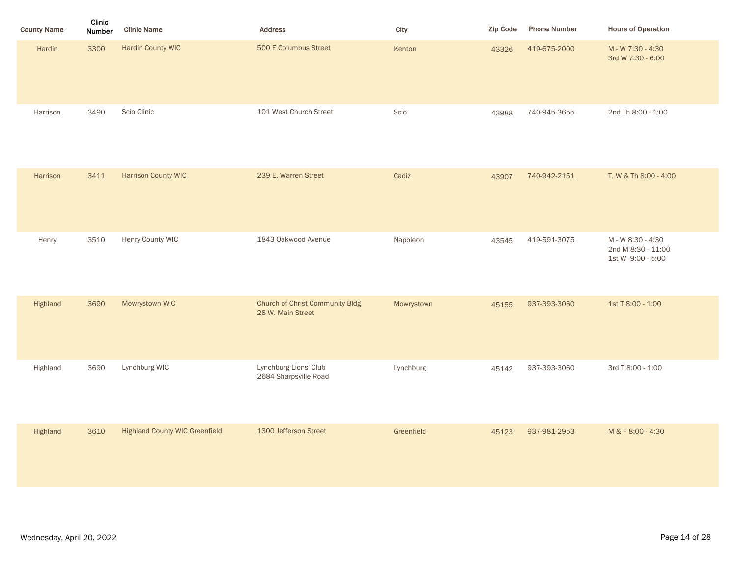| <b>County Name</b> | Clinic<br>Number | <b>Clinic Name</b>                    | <b>Address</b>                                              | City       | Zip Code | <b>Phone Number</b> | <b>Hours of Operation</b>                                    |
|--------------------|------------------|---------------------------------------|-------------------------------------------------------------|------------|----------|---------------------|--------------------------------------------------------------|
| Hardin             | 3300             | <b>Hardin County WIC</b>              | 500 E Columbus Street                                       | Kenton     | 43326    | 419-675-2000        | M - W 7:30 - 4:30<br>3rd W 7:30 - 6:00                       |
| Harrison           | 3490             | Scio Clinic                           | 101 West Church Street                                      | Scio       | 43988    | 740-945-3655        | 2nd Th 8:00 - 1:00                                           |
| Harrison           | 3411             | <b>Harrison County WIC</b>            | 239 E. Warren Street                                        | Cadiz      | 43907    | 740-942-2151        | T, W & Th 8:00 - 4:00                                        |
| Henry              | 3510             | Henry County WIC                      | 1843 Oakwood Avenue                                         | Napoleon   | 43545    | 419-591-3075        | M - W 8:30 - 4:30<br>2nd M 8:30 - 11:00<br>1st W 9:00 - 5:00 |
| Highland           | 3690             | Mowrystown WIC                        | <b>Church of Christ Community Bldg</b><br>28 W. Main Street | Mowrystown | 45155    | 937-393-3060        | 1st T 8:00 - 1:00                                            |
| Highland           | 3690             | Lynchburg WIC                         | Lynchburg Lions' Club<br>2684 Sharpsville Road              | Lynchburg  | 45142    | 937-393-3060        | 3rd T 8:00 - 1:00                                            |
| Highland           | 3610             | <b>Highland County WIC Greenfield</b> | 1300 Jefferson Street                                       | Greenfield | 45123    | 937-981-2953        | M & F 8:00 - 4:30                                            |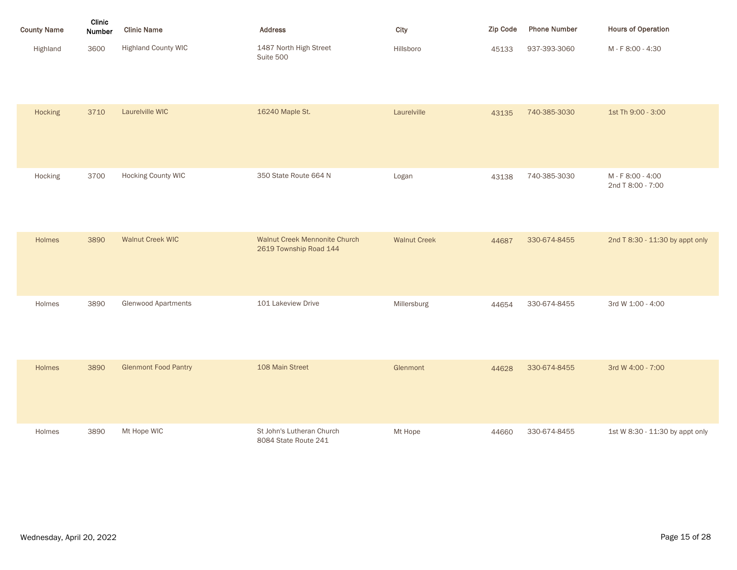| <b>County Name</b> | Clinic<br>Number | <b>Clinic Name</b>         | <b>Address</b>                      | City      | <b>Zip Code</b> | <b>Phone Number</b> | <b>Hours of Operation</b> |
|--------------------|------------------|----------------------------|-------------------------------------|-----------|-----------------|---------------------|---------------------------|
| Highland           | 3600             | <b>Highland County WIC</b> | 1487 North High Street<br>Suite 500 | Hillsboro | 45133           | 937-393-3060        | M - F 8:00 - 4:30         |

| Hocking | 3710 | Laurelville WIC             | 16240 Maple St.                                                | Laurelville         | 43135 | 740-385-3030 | 1st Th 9:00 - 3:00                     |
|---------|------|-----------------------------|----------------------------------------------------------------|---------------------|-------|--------------|----------------------------------------|
| Hocking | 3700 | <b>Hocking County WIC</b>   | 350 State Route 664 N                                          | Logan               | 43138 | 740-385-3030 | M - F 8:00 - 4:00<br>2nd T 8:00 - 7:00 |
| Holmes  | 3890 | <b>Walnut Creek WIC</b>     | <b>Walnut Creek Mennonite Church</b><br>2619 Township Road 144 | <b>Walnut Creek</b> | 44687 | 330-674-8455 | 2nd T 8:30 - 11:30 by appt only        |
| Holmes  | 3890 | <b>Glenwood Apartments</b>  | 101 Lakeview Drive                                             | Millersburg         | 44654 | 330-674-8455 | 3rd W 1:00 - 4:00                      |
| Holmes  | 3890 | <b>Glenmont Food Pantry</b> | 108 Main Street                                                | Glenmont            | 44628 | 330-674-8455 | 3rd W 4:00 - 7:00                      |
| Holmes  | 3890 | Mt Hope WIC                 | St John's Lutheran Church<br>8084 State Route 241              | Mt Hope             | 44660 | 330-674-8455 | 1st W 8:30 - 11:30 by appt only        |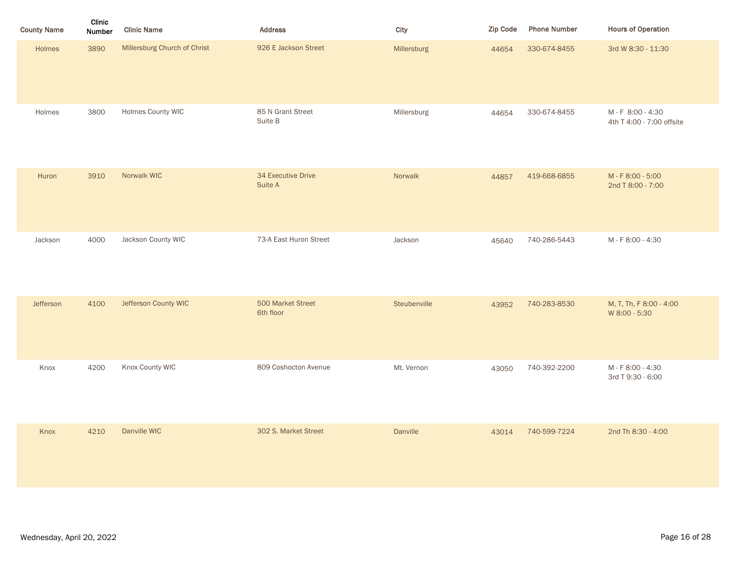| Clinic<br>Number | <b>Clinic Name</b>           | Address                        | City         | Zip Code | <b>Phone Number</b> | <b>Hours of Operation</b>                  |
|------------------|------------------------------|--------------------------------|--------------|----------|---------------------|--------------------------------------------|
| 3890             | Millersburg Church of Christ | 926 E Jackson Street           | Millersburg  | 44654    | 330-674-8455        | 3rd W 8:30 - 11:30                         |
| 3800             | Holmes County WIC            | 85 N Grant Street<br>Suite B   | Millersburg  | 44654    | 330-674-8455        | M-F 8:00-4:30<br>4th T 4:00 - 7:00 offsite |
| 3910             | Norwalk WIC                  | 34 Executive Drive<br>Suite A  | Norwalk      | 44857    | 419-668-6855        | M - F 8:00 - 5:00<br>2nd T 8:00 - 7:00     |
| 4000             | Jackson County WIC           | 73-A East Huron Street         | Jackson      | 45640    | 740-286-5443        | M - F 8:00 - 4:30                          |
| 4100             | Jefferson County WIC         | 500 Market Street<br>6th floor | Steubenville | 43952    | 740-283-8530        | M, T, Th, F 8:00 - 4:00<br>W 8:00 - 5:30   |
| 4200             | Knox County WIC              | 809 Coshocton Avenue           | Mt. Vernon   | 43050    | 740-392-2200        | M - F 8:00 - 4:30<br>3rd T 9:30 - 6:00     |
| 4210             | Danville WIC                 | 302 S. Market Street           | Danville     | 43014    | 740-599-7224        | 2nd Th 8:30 - 4:00                         |
|                  |                              |                                |              |          |                     |                                            |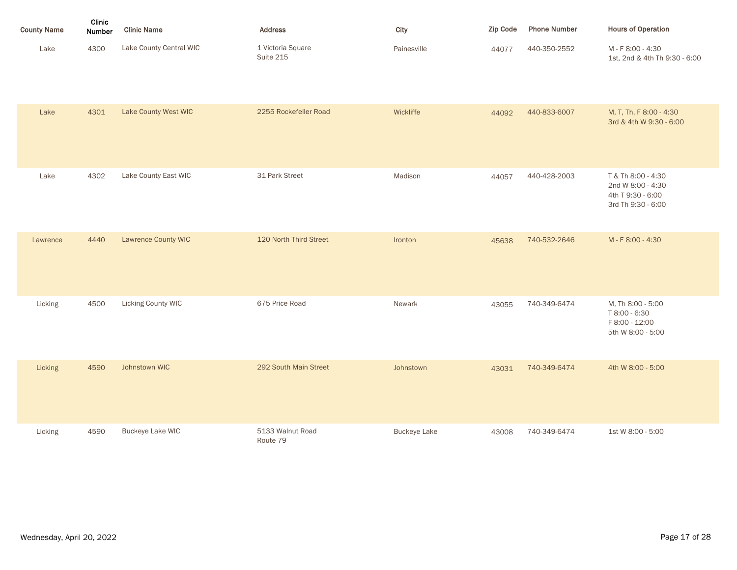| <b>County Name</b> | Clinic<br>Number | <b>Clinic Name</b>        | <b>Address</b>                 | City                | <b>Zip Code</b> | <b>Phone Number</b> | <b>Hours of Operation</b>                                                          |
|--------------------|------------------|---------------------------|--------------------------------|---------------------|-----------------|---------------------|------------------------------------------------------------------------------------|
| Lake               | 4300             | Lake County Central WIC   | 1 Victoria Square<br>Suite 215 | Painesville         | 44077           | 440-350-2552        | M-F8:00-4:30<br>1st, 2nd & 4th Th 9:30 - 6:00                                      |
| Lake               | 4301             | Lake County West WIC      | 2255 Rockefeller Road          | Wickliffe           | 44092           | 440-833-6007        | M, T, Th, F 8:00 - 4:30<br>3rd & 4th W 9:30 - 6:00                                 |
| Lake               | 4302             | Lake County East WIC      | 31 Park Street                 | Madison             | 44057           | 440-428-2003        | T & Th 8:00 - 4:30<br>2nd W 8:00 - 4:30<br>4th T 9:30 - 6:00<br>3rd Th 9:30 - 6:00 |
| Lawrence           | 4440             | Lawrence County WIC       | 120 North Third Street         | Ironton             | 45638           | 740-532-2646        | M-F8:00-4:30                                                                       |
| Licking            | 4500             | <b>Licking County WIC</b> | 675 Price Road                 | Newark              | 43055           | 740-349-6474        | M, Th 8:00 - 5:00<br>T 8:00 - 6:30<br>F 8:00 - 12:00<br>5th W 8:00 - 5:00          |
| Licking            | 4590             | Johnstown WIC             | 292 South Main Street          | Johnstown           | 43031           | 740-349-6474        | 4th W 8:00 - 5:00                                                                  |
| Licking            | 4590             | <b>Buckeye Lake WIC</b>   | 5133 Walnut Road<br>Route 79   | <b>Buckeye Lake</b> | 43008           | 740-349-6474        | 1st W 8:00 - 5:00                                                                  |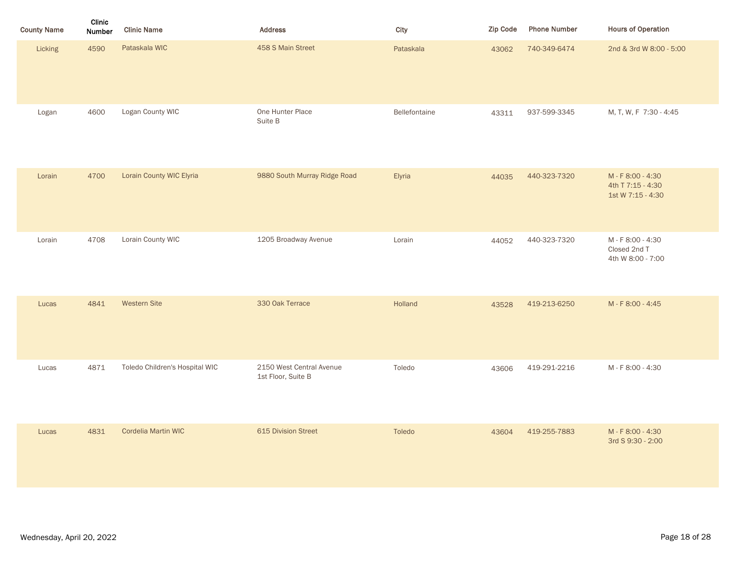| <b>County Name</b> | Clinic<br>Number | <b>Clinic Name</b>             | <b>Address</b>                                 | City          | Zip Code | <b>Phone Number</b> | <b>Hours of Operation</b>                                   |
|--------------------|------------------|--------------------------------|------------------------------------------------|---------------|----------|---------------------|-------------------------------------------------------------|
| Licking            | 4590             | Pataskala WIC                  | 458 S Main Street                              | Pataskala     | 43062    | 740-349-6474        | 2nd & 3rd W 8:00 - 5:00                                     |
| Logan              | 4600             | Logan County WIC               | One Hunter Place<br>Suite B                    | Bellefontaine | 43311    | 937-599-3345        | M, T, W, F 7:30 - 4:45                                      |
| Lorain             | 4700             | Lorain County WIC Elyria       | 9880 South Murray Ridge Road                   | Elyria        | 44035    | 440-323-7320        | M - F 8:00 - 4:30<br>4th T 7:15 - 4:30<br>1st W 7:15 - 4:30 |
| Lorain             | 4708             | Lorain County WIC              | 1205 Broadway Avenue                           | Lorain        | 44052    | 440-323-7320        | M - F 8:00 - 4:30<br>Closed 2nd T<br>4th W 8:00 - 7:00      |
| Lucas              | 4841             | <b>Western Site</b>            | 330 Oak Terrace                                | Holland       | 43528    | 419-213-6250        | M - F 8:00 - 4:45                                           |
| Lucas              | 4871             | Toledo Children's Hospital WIC | 2150 West Central Avenue<br>1st Floor, Suite B | Toledo        | 43606    | 419-291-2216        | M - F 8:00 - 4:30                                           |
| Lucas              | 4831             | Cordelia Martin WIC            | 615 Division Street                            | Toledo        | 43604    | 419-255-7883        | M - F 8:00 - 4:30<br>3rd S 9:30 - 2:00                      |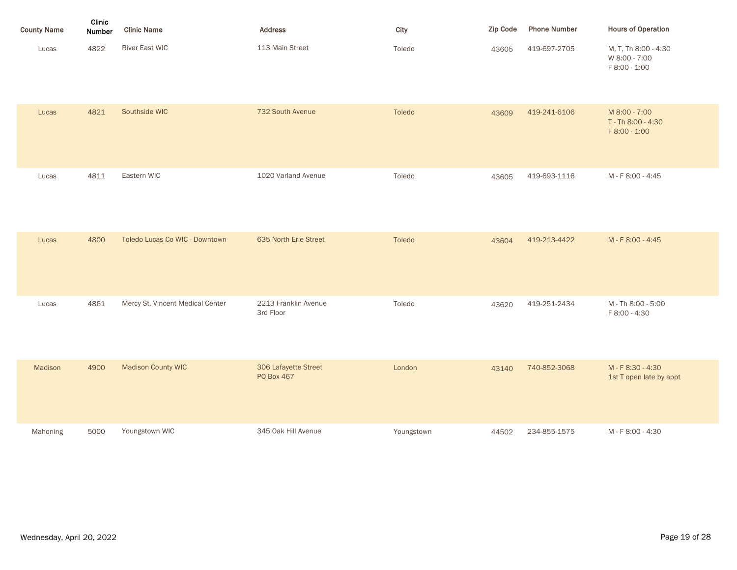| <b>County Name</b> | <b>Clinic</b><br><b>Number</b> | <b>Clinic Name</b> | <b>Address</b>  | City   | Zip Code | <b>Phone Number</b> | <b>Hours of Operation</b>                              |
|--------------------|--------------------------------|--------------------|-----------------|--------|----------|---------------------|--------------------------------------------------------|
| Lucas              | 4822                           | River East WIC     | 113 Main Street | Toledo | 43605    | 419-697-2705        | M, T, Th 8:00 - 4:30<br>W 8:00 - 7:00<br>F 8:00 - 1:00 |

| Lucas    | 4821 | Southside WIC                    | 732 South Avenue                   | Toledo     | 43609 | 419-241-6106 | M 8:00 - 7:00<br>T - Th 8:00 - 4:30<br>F 8:00 - 1:00 |
|----------|------|----------------------------------|------------------------------------|------------|-------|--------------|------------------------------------------------------|
| Lucas    | 4811 | Eastern WIC                      | 1020 Varland Avenue                | Toledo     | 43605 | 419-693-1116 | M-F8:00-4:45                                         |
| Lucas    | 4800 | Toledo Lucas Co WIC - Downtown   | 635 North Erie Street              | Toledo     | 43604 | 419-213-4422 | M-F8:00-4:45                                         |
| Lucas    | 4861 | Mercy St. Vincent Medical Center | 2213 Franklin Avenue<br>3rd Floor  | Toledo     | 43620 | 419-251-2434 | M - Th 8:00 - 5:00<br>F 8:00 - 4:30                  |
| Madison  | 4900 | <b>Madison County WIC</b>        | 306 Lafayette Street<br>PO Box 467 | London     | 43140 | 740-852-3068 | M - F 8:30 - 4:30<br>1st T open late by appt         |
| Mahoning | 5000 | Youngstown WIC                   | 345 Oak Hill Avenue                | Youngstown | 44502 | 234-855-1575 | M-F8:00-4:30                                         |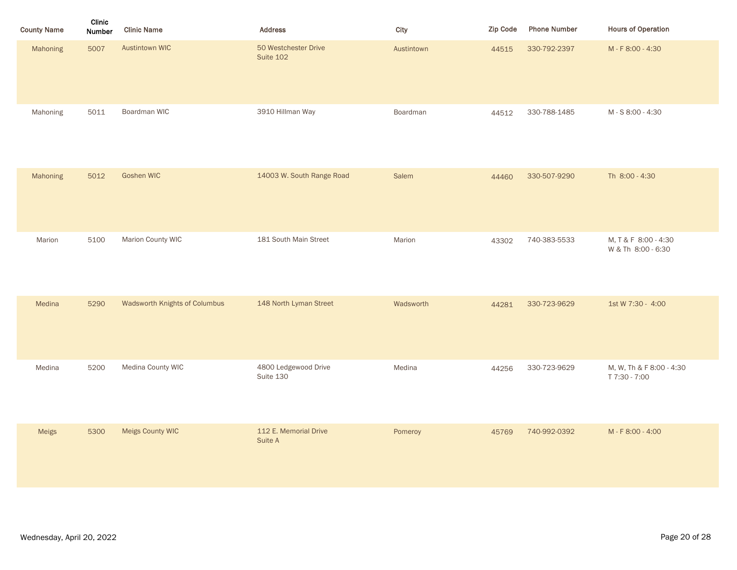| <b>County Name</b> | Clinic<br>Number | <b>Clinic Name</b>            | <b>Address</b>                    | City       | Zip Code | <b>Phone Number</b> | <b>Hours of Operation</b>                  |
|--------------------|------------------|-------------------------------|-----------------------------------|------------|----------|---------------------|--------------------------------------------|
| Mahoning           | 5007             | <b>Austintown WIC</b>         | 50 Westchester Drive<br>Suite 102 | Austintown | 44515    | 330-792-2397        | M - F 8:00 - 4:30                          |
| Mahoning           | 5011             | Boardman WIC                  | 3910 Hillman Way                  | Boardman   | 44512    | 330-788-1485        | M - S 8:00 - 4:30                          |
| Mahoning           | 5012             | <b>Goshen WIC</b>             | 14003 W. South Range Road         | Salem      | 44460    | 330-507-9290        | Th 8:00 - 4:30                             |
| Marion             | 5100             | Marion County WIC             | 181 South Main Street             | Marion     | 43302    | 740-383-5533        | M, T & F 8:00 - 4:30<br>W & Th 8:00 - 6:30 |
| Medina             | 5290             | Wadsworth Knights of Columbus | 148 North Lyman Street            | Wadsworth  | 44281    | 330-723-9629        | 1st W 7:30 - 4:00                          |
| Medina             | 5200             | Medina County WIC             | 4800 Ledgewood Drive<br>Suite 130 | Medina     | 44256    | 330-723-9629        | M, W, Th & F 8:00 - 4:30<br>T 7:30 - 7:00  |
| Meigs              | 5300             | Meigs County WIC              | 112 E. Memorial Drive<br>Suite A  | Pomeroy    | 45769    | 740-992-0392        | M - F 8:00 - 4:00                          |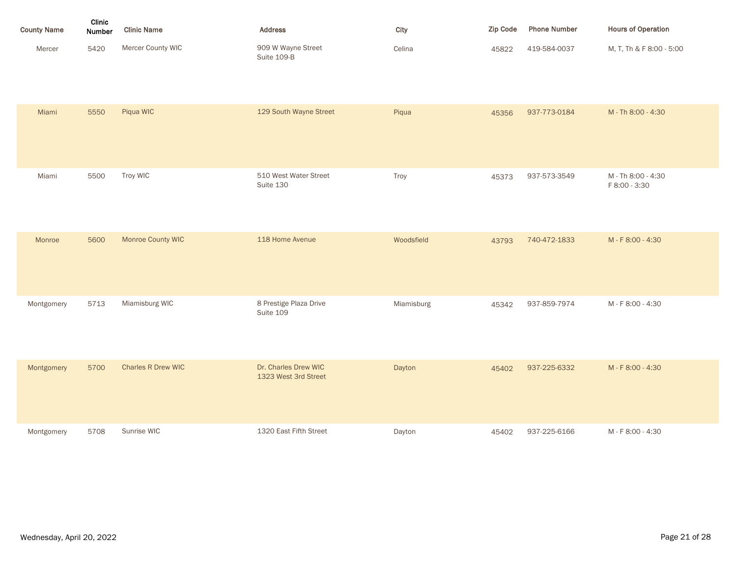| <b>County Name</b> | Clinic<br><b>Number</b> | <b>Clinic Name</b> | <b>Address</b>                    | City   | <b>Zip Code</b> | <b>Phone Number</b> | <b>Hours of Operation</b> |
|--------------------|-------------------------|--------------------|-----------------------------------|--------|-----------------|---------------------|---------------------------|
| Mercer             | 5420                    | Mercer County WIC  | 909 W Wayne Street<br>Suite 109-B | Celina | 45822           | 419-584-0037        | M, T, Th & F 8:00 - 5:00  |

| Miami      | 5550 | Piqua WIC                 | 129 South Wayne Street                       | Piqua      | 45356 | 937-773-0184 | M - Th 8:00 - 4:30                  |
|------------|------|---------------------------|----------------------------------------------|------------|-------|--------------|-------------------------------------|
| Miami      | 5500 | Troy WIC                  | 510 West Water Street<br>Suite 130           | Troy       | 45373 | 937-573-3549 | M - Th 8:00 - 4:30<br>F 8:00 - 3:30 |
| Monroe     | 5600 | Monroe County WIC         | 118 Home Avenue                              | Woodsfield | 43793 | 740-472-1833 | M-F8:00-4:30                        |
| Montgomery | 5713 | Miamisburg WIC            | 8 Prestige Plaza Drive<br>Suite 109          | Miamisburg | 45342 | 937-859-7974 | M - F 8:00 - 4:30                   |
| Montgomery | 5700 | <b>Charles R Drew WIC</b> | Dr. Charles Drew WIC<br>1323 West 3rd Street | Dayton     | 45402 | 937-225-6332 | M-F8:00-4:30                        |
| Montgomery | 5708 | Sunrise WIC               | 1320 East Fifth Street                       | Dayton     | 45402 | 937-225-6166 | M - F 8:00 - 4:30                   |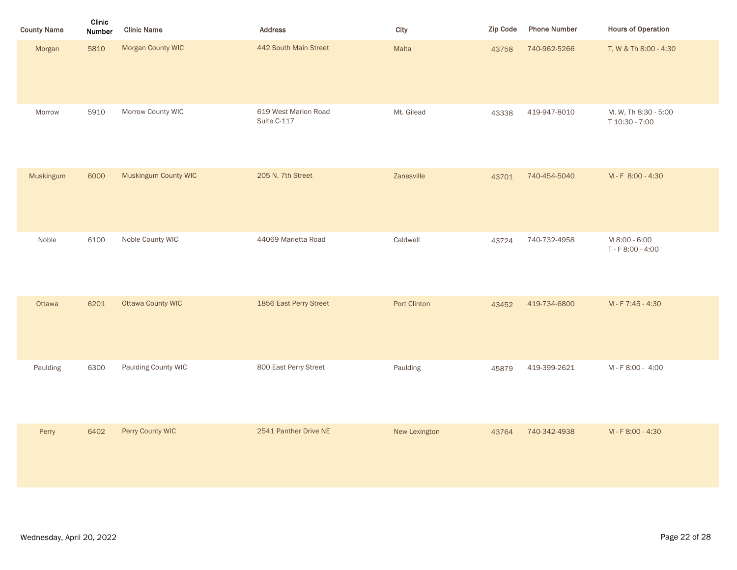| <b>County Name</b> | Clinic<br>Number | <b>Clinic Name</b>       | Address                             | City          | Zip Code | <b>Phone Number</b> | <b>Hours of Operation</b>              |
|--------------------|------------------|--------------------------|-------------------------------------|---------------|----------|---------------------|----------------------------------------|
| Morgan             | 5810             | Morgan County WIC        | 442 South Main Street               | Malta         | 43758    | 740-962-5266        | T, W & Th 8:00 - 4:30                  |
| Morrow             | 5910             | Morrow County WIC        | 619 West Marion Road<br>Suite C-117 | Mt. Gilead    | 43338    | 419-947-8010        | M, W, Th 8:30 - 5:00<br>T 10:30 - 7:00 |
| Muskingum          | 6000             | Muskingum County WIC     | 205 N. 7th Street                   | Zanesville    | 43701    | 740-454-5040        | M-F 8:00-4:30                          |
| Noble              | 6100             | Noble County WIC         | 44069 Marietta Road                 | Caldwell      | 43724    | 740-732-4958        | M 8:00 - 6:00<br>T - F 8:00 - 4:00     |
| Ottawa             | 6201             | <b>Ottawa County WIC</b> | 1856 East Perry Street              | Port Clinton  | 43452    | 419-734-6800        | M - F 7:45 - 4:30                      |
| Paulding           | 6300             | Paulding County WIC      | 800 East Perry Street               | Paulding      | 45879    | 419-399-2621        | M-F8:00 - 4:00                         |
| Perry              | 6402             | Perry County WIC         | 2541 Panther Drive NE               | New Lexington | 43764    | 740-342-4938        | M - F 8:00 - 4:30                      |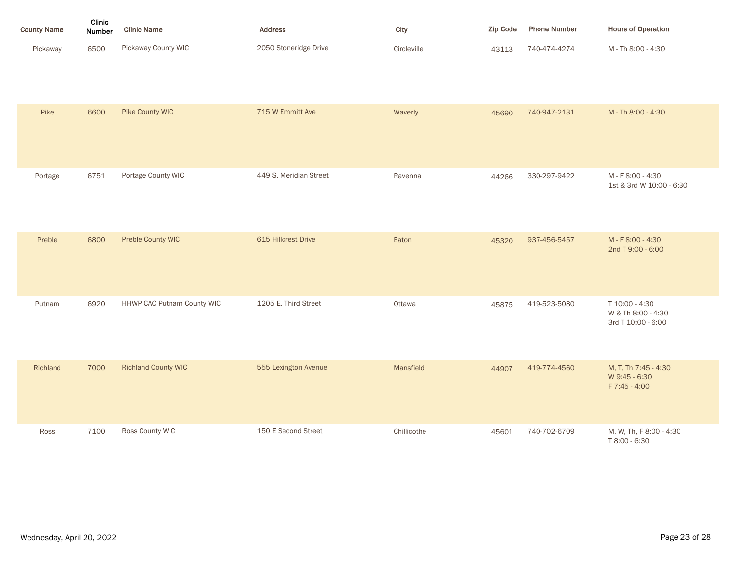| <b>County Name</b> | Clinic<br><b>Number</b> | <b>Clinic Name</b>  | <b>Address</b>        | City        | <b>Zip Code</b> | <b>Phone Number</b> | <b>Hours of Operation</b> |
|--------------------|-------------------------|---------------------|-----------------------|-------------|-----------------|---------------------|---------------------------|
| Pickaway           | 6500                    | Pickaway County WIC | 2050 Stoneridge Drive | Circleville | 43113           | 740-474-4274        | M - Th 8:00 - 4:30        |

| Pike     | 6600 | Pike County WIC            | 715 W Emmitt Ave       | Waverly     | 45690 | 740-947-2131 | M - Th 8:00 - 4:30                                         |
|----------|------|----------------------------|------------------------|-------------|-------|--------------|------------------------------------------------------------|
| Portage  | 6751 | Portage County WIC         | 449 S. Meridian Street | Ravenna     | 44266 | 330-297-9422 | M - F 8:00 - 4:30<br>1st & 3rd W 10:00 - 6:30              |
| Preble   | 6800 | Preble County WIC          | 615 Hillcrest Drive    | Eaton       | 45320 | 937-456-5457 | M-F8:00-4:30<br>2nd T 9:00 - 6:00                          |
| Putnam   | 6920 | HHWP CAC Putnam County WIC | 1205 E. Third Street   | Ottawa      | 45875 | 419-523-5080 | T 10:00 - 4:30<br>W & Th 8:00 - 4:30<br>3rd T 10:00 - 6:00 |
| Richland | 7000 | <b>Richland County WIC</b> | 555 Lexington Avenue   | Mansfield   | 44907 | 419-774-4560 | M, T, Th 7:45 - 4:30<br>W 9:45 - 6:30<br>F 7:45 - 4:00     |
| Ross     | 7100 | Ross County WIC            | 150 E Second Street    | Chillicothe | 45601 | 740-702-6709 | M, W, Th, F 8:00 - 4:30<br>T 8:00 - 6:30                   |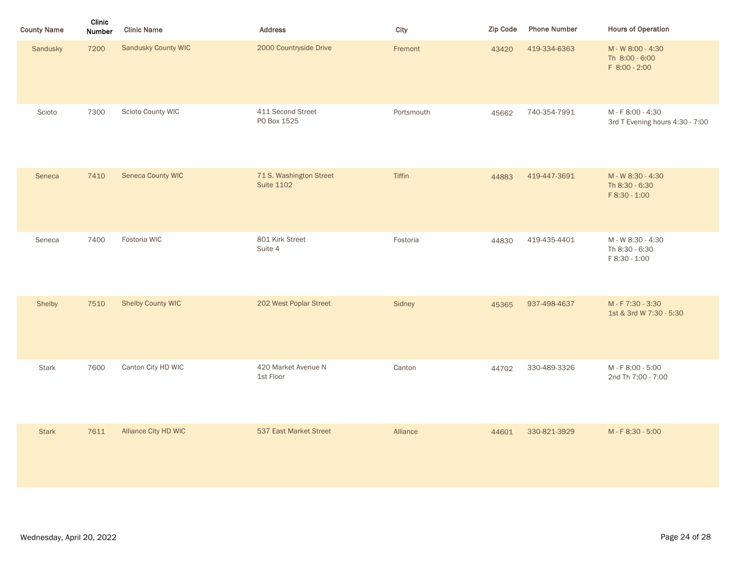| <b>County Name</b> | <b>Clinic</b><br><b>Number</b> | <b>Clinic Name</b>   | <b>Address</b>                               | City       | <b>Zip Code</b> | <b>Phone Number</b> | <b>Hours of Operation</b>                            |
|--------------------|--------------------------------|----------------------|----------------------------------------------|------------|-----------------|---------------------|------------------------------------------------------|
| Sandusky           | 7200                           | Sandusky County WIC  | 2000 Countryside Drive                       | Fremont    | 43420           | 419-334-6363        | M - W 8:00 - 4:30<br>Th 8:00 - 6:00<br>F 8:00 - 2:00 |
| Scioto             | 7300                           | Scioto County WIC    | 411 Second Street<br>PO Box 1525             | Portsmouth | 45662           | 740-354-7991        | M-F8:00-4:30<br>3rd T Evening hours 4:30 - 7:00      |
| Seneca             | 7410                           | Seneca County WIC    | 71 S. Washington Street<br><b>Suite 1102</b> | Tiffin     | 44883           | 419-447-3691        | M - W 8:30 - 4:30<br>Th 8:30 - 6:30<br>F 8:30 - 1:00 |
| Seneca             | 7400                           | Fostoria WIC         | 801 Kirk Street<br>Suite 4                   | Fostoria   | 44830           | 419-435-4401        | M - W 8:30 - 4:30<br>Th 8:30 - 6:30<br>F 8:30 - 1:00 |
| Shelby             | 7510                           | Shelby County WIC    | 202 West Poplar Street                       | Sidney     | 45365           | 937-498-4637        | M-F7:30-3:30<br>1st & 3rd W 7:30 - 5:30              |
| Stark              | 7600                           | Canton City HD WIC   | 420 Market Avenue N<br>1st Floor             | Canton     | 44702           | 330-489-3326        | M - F 8:00 - 5:00<br>2nd Th 7:00 - 7:00              |
| <b>Stark</b>       | 7611                           | Alliance City HD WIC | 537 East Market Street                       | Alliance   | 44601           | 330-821-3929        | M-F8:30-5:00                                         |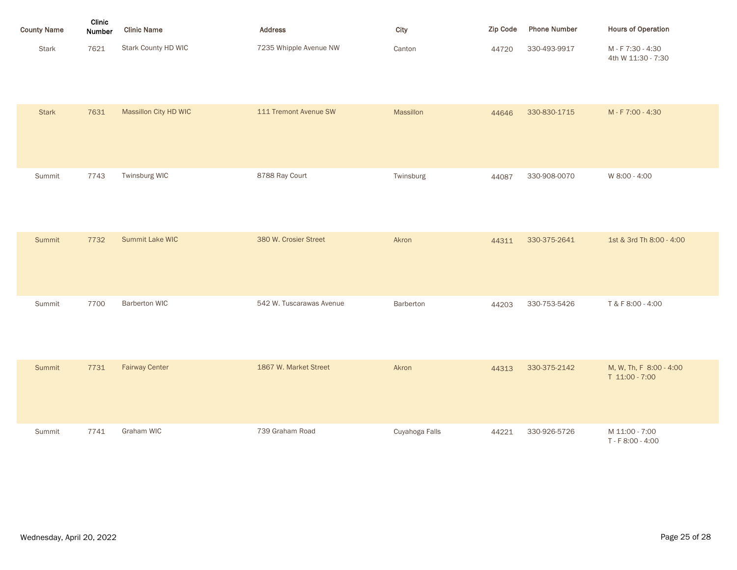| <b>County Name</b> | Clinic<br><b>Number</b> | <b>Clinic Name</b>  | <b>Address</b>         | City   | <b>Zip Code</b> | <b>Phone Number</b> | <b>Hours of Operation</b>               |
|--------------------|-------------------------|---------------------|------------------------|--------|-----------------|---------------------|-----------------------------------------|
| <b>Stark</b>       | 7621                    | Stark County HD WIC | 7235 Whipple Avenue NW | Canton | 44720           | 330-493-9917        | M - F 7:30 - 4:30<br>4th W 11:30 - 7:30 |

| <b>Stark</b>  | 7631 | Massillon City HD WIC | 111 Tremont Avenue SW    | Massillon      | 44646 | 330-830-1715 | M-F7:00-4:30                              |
|---------------|------|-----------------------|--------------------------|----------------|-------|--------------|-------------------------------------------|
| Summit        | 7743 | Twinsburg WIC         | 8788 Ray Court           | Twinsburg      | 44087 | 330-908-0070 | W 8:00 - 4:00                             |
| <b>Summit</b> | 7732 | Summit Lake WIC       | 380 W. Crosier Street    | Akron          | 44311 | 330-375-2641 | 1st & 3rd Th 8:00 - 4:00                  |
| Summit        | 7700 | <b>Barberton WIC</b>  | 542 W. Tuscarawas Avenue | Barberton      | 44203 | 330-753-5426 | T & F 8:00 - 4:00                         |
| Summit        | 7731 | <b>Fairway Center</b> | 1867 W. Market Street    | Akron          | 44313 | 330-375-2142 | M, W, Th, F 8:00 - 4:00<br>T 11:00 - 7:00 |
| Summit        | 7741 | Graham WIC            | 739 Graham Road          | Cuyahoga Falls | 44221 | 330-926-5726 | M 11:00 - 7:00<br>T - F 8:00 - 4:00       |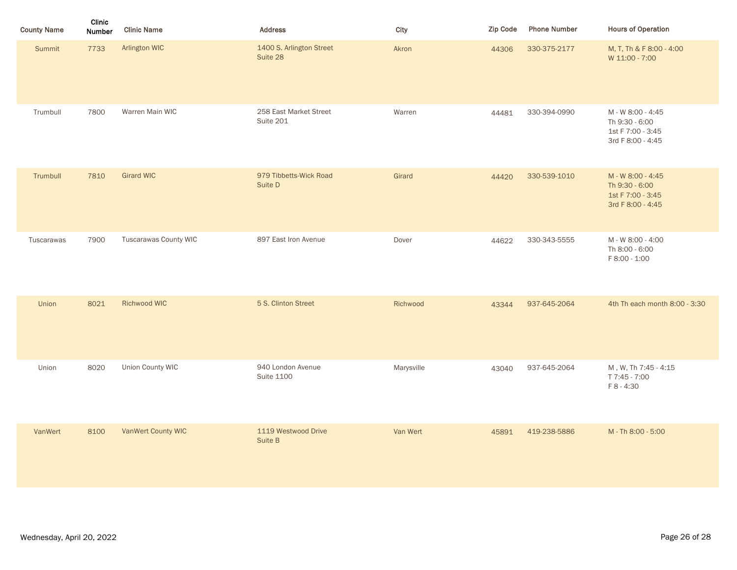| <b>County Name</b> | Clinic<br><b>Number</b> | <b>Clinic Name</b>    | <b>Address</b>                         | City       | Zip Code | <b>Phone Number</b> | <b>Hours of Operation</b>                                                     |
|--------------------|-------------------------|-----------------------|----------------------------------------|------------|----------|---------------------|-------------------------------------------------------------------------------|
| <b>Summit</b>      | 7733                    | Arlington WIC         | 1400 S. Arlington Street<br>Suite 28   | Akron      | 44306    | 330-375-2177        | M, T, Th & F 8:00 - 4:00<br>W 11:00 - 7:00                                    |
| Trumbull           | 7800                    | Warren Main WIC       | 258 East Market Street<br>Suite 201    | Warren     | 44481    | 330-394-0990        | M - W 8:00 - 4:45<br>Th 9:30 - 6:00<br>1st F 7:00 - 3:45<br>3rd F 8:00 - 4:45 |
| Trumbull           | 7810                    | <b>Girard WIC</b>     | 979 Tibbetts-Wick Road<br>Suite D      | Girard     | 44420    | 330-539-1010        | M - W 8:00 - 4:45<br>Th 9:30 - 6:00<br>1st F 7:00 - 3:45<br>3rd F 8:00 - 4:45 |
| Tuscarawas         | 7900                    | Tuscarawas County WIC | 897 East Iron Avenue                   | Dover      | 44622    | 330-343-5555        | M - W 8:00 - 4:00<br>Th 8:00 - 6:00<br>F 8:00 - 1:00                          |
| Union              | 8021                    | Richwood WIC          | 5 S. Clinton Street                    | Richwood   | 43344    | 937-645-2064        | 4th Th each month 8:00 - 3:30                                                 |
| Union              | 8020                    | Union County WIC      | 940 London Avenue<br><b>Suite 1100</b> | Marysville | 43040    | 937-645-2064        | M, W, Th 7:45 - 4:15<br>T 7:45 - 7:00<br>F 8 - 4:30                           |
| VanWert            | 8100                    | VanWert County WIC    | 1119 Westwood Drive<br>Suite B         | Van Wert   | 45891    | 419-238-5886        | M - Th 8:00 - 5:00                                                            |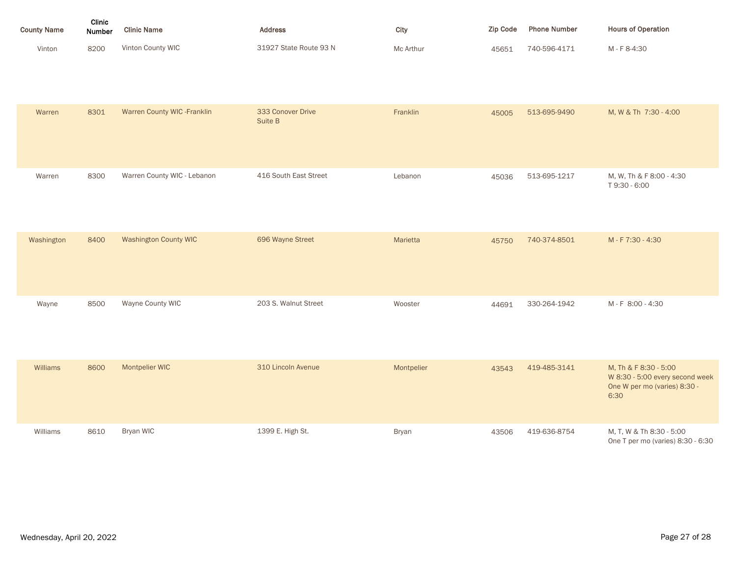| <b>County Name</b> | Clinic<br><b>Number</b> | <b>Clinic Name</b> | <b>Address</b>         | City      | Zip Code | <b>Phone Number</b> | <b>Hours of Operation</b> |
|--------------------|-------------------------|--------------------|------------------------|-----------|----------|---------------------|---------------------------|
| Vinton             | 8200                    | Vinton County WIC  | 31927 State Route 93 N | Mc Arthur | 45651    | 740-596-4171        | M - F 8-4:30              |

| Warren     | 8301 | Warren County WIC - Franklin | 333 Conover Drive<br>Suite B | Franklin     | 45005 | 513-695-9490 | M, W & Th 7:30 - 4:00                                                                            |
|------------|------|------------------------------|------------------------------|--------------|-------|--------------|--------------------------------------------------------------------------------------------------|
| Warren     | 8300 | Warren County WIC - Lebanon  | 416 South East Street        | Lebanon      | 45036 | 513-695-1217 | M, W, Th & F 8:00 - 4:30<br>T9:30 - 6:00                                                         |
| Washington | 8400 | <b>Washington County WIC</b> | 696 Wayne Street             | Marietta     | 45750 | 740-374-8501 | M-F7:30-4:30                                                                                     |
| Wayne      | 8500 | Wayne County WIC             | 203 S. Walnut Street         | Wooster      | 44691 | 330-264-1942 | M-F 8:00-4:30                                                                                    |
| Williams   | 8600 | Montpelier WIC               | 310 Lincoln Avenue           | Montpelier   | 43543 | 419-485-3141 | M, Th & F 8:30 - 5:00<br>W 8:30 - 5:00 every second week<br>One W per mo (varies) 8:30 -<br>6:30 |
| Williams   | 8610 | Bryan WIC                    | 1399 E. High St.             | <b>Bryan</b> | 43506 | 419-636-8754 | M, T, W & Th 8:30 - 5:00<br>One T per mo (varies) 8:30 - 6:30                                    |